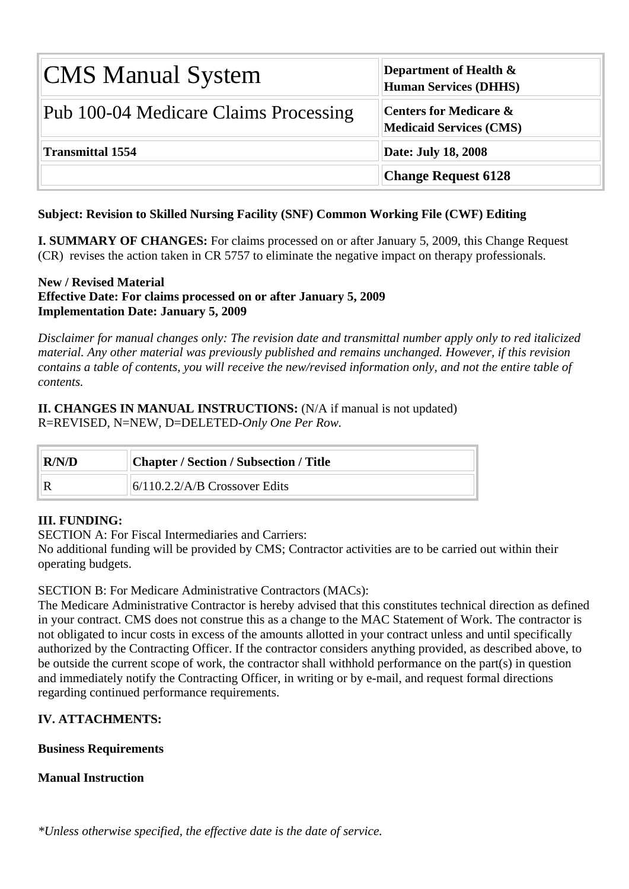| <b>CMS Manual System</b>              | Department of Health $\&$<br><b>Human Services (DHHS)</b>           |
|---------------------------------------|---------------------------------------------------------------------|
| Pub 100-04 Medicare Claims Processing | <b>Centers for Medicare &amp;</b><br><b>Medicaid Services (CMS)</b> |
| <b>Transmittal 1554</b>               | <b>Date: July 18, 2008</b>                                          |
|                                       | <b>Change Request 6128</b>                                          |

# **Subject: Revision to Skilled Nursing Facility (SNF) Common Working File (CWF) Editing**

**I. SUMMARY OF CHANGES:** For claims processed on or after January 5, 2009, this Change Request (CR) revises the action taken in CR 5757 to eliminate the negative impact on therapy professionals.

## **New / Revised Material Effective Date: For claims processed on or after January 5, 2009 Implementation Date: January 5, 2009**

*Disclaimer for manual changes only: The revision date and transmittal number apply only to red italicized material. Any other material was previously published and remains unchanged. However, if this revision contains a table of contents, you will receive the new/revised information only, and not the entire table of contents.*

**II. CHANGES IN MANUAL INSTRUCTIONS:** (N/A if manual is not updated) R=REVISED, N=NEW, D=DELETED-*Only One Per Row.* 

| R/N/D | Chapter / Section / Subsection / Title |
|-------|----------------------------------------|
|       | $6/110.2.2/A/B$ Crossover Edits        |

# **III. FUNDING:**

SECTION A: For Fiscal Intermediaries and Carriers:

No additional funding will be provided by CMS; Contractor activities are to be carried out within their operating budgets.

# SECTION B: For Medicare Administrative Contractors (MACs):

The Medicare Administrative Contractor is hereby advised that this constitutes technical direction as defined in your contract. CMS does not construe this as a change to the MAC Statement of Work. The contractor is not obligated to incur costs in excess of the amounts allotted in your contract unless and until specifically authorized by the Contracting Officer. If the contractor considers anything provided, as described above, to be outside the current scope of work, the contractor shall withhold performance on the part(s) in question and immediately notify the Contracting Officer, in writing or by e-mail, and request formal directions regarding continued performance requirements.

# **IV. ATTACHMENTS:**

# **Business Requirements**

# **Manual Instruction**

*\*Unless otherwise specified, the effective date is the date of service.*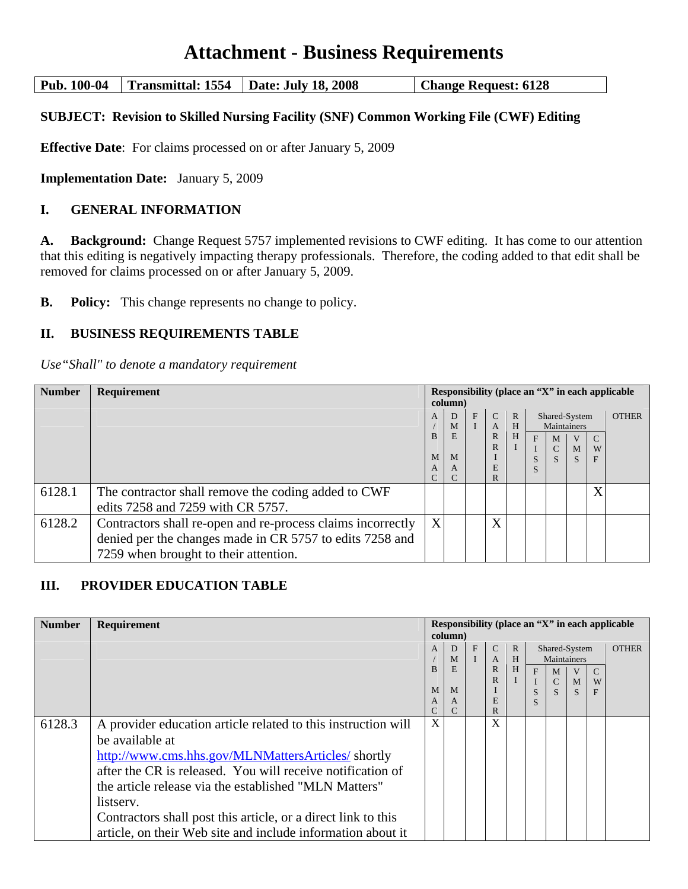# **Attachment - Business Requirements**

**Pub. 100-04 Transmittal: 1554 Date: July 18, 2008 Change Request: 6128** 

## **SUBJECT: Revision to Skilled Nursing Facility (SNF) Common Working File (CWF) Editing**

**Effective Date**: For claims processed on or after January 5, 2009

**Implementation Date:** January 5, 2009

## **I. GENERAL INFORMATION**

**A. Background:** Change Request 5757 implemented revisions to CWF editing. It has come to our attention that this editing is negatively impacting therapy professionals. Therefore, the coding added to that edit shall be removed for claims processed on or after January 5, 2009.

**B.** Policy: This change represents no change to policy.

## **II. BUSINESS REQUIREMENTS TABLE**

*Use"Shall" to denote a mandatory requirement* 

| <b>Number</b> | Requirement                                                                                                                                                      | Responsibility (place an "X" in each applicable<br>column) |                       |   |                                                               |                        |        |                                                                     |        |             |              |
|---------------|------------------------------------------------------------------------------------------------------------------------------------------------------------------|------------------------------------------------------------|-----------------------|---|---------------------------------------------------------------|------------------------|--------|---------------------------------------------------------------------|--------|-------------|--------------|
|               |                                                                                                                                                                  | A<br><sub>R</sub><br>M<br>A                                | D<br>M<br>E<br>M<br>A | F | $\mathcal{C}$<br>A<br>$\mathbb{R}$<br>$\mathbb{R}$<br>F.<br>R | $\mathbb{R}$<br>H<br>H | F<br>S | Shared-System<br>Maintainers<br>M<br>$\mathbf{C}$<br>$\overline{S}$ | M<br>S | C<br>W<br>F | <b>OTHER</b> |
| 6128.1        | The contractor shall remove the coding added to CWF<br>edits 7258 and 7259 with CR 5757.                                                                         |                                                            |                       |   |                                                               |                        |        |                                                                     |        | X           |              |
| 6128.2        | Contractors shall re-open and re-process claims incorrectly<br>denied per the changes made in CR 5757 to edits 7258 and<br>7259 when brought to their attention. | X                                                          |                       |   | X                                                             |                        |        |                                                                     |        |             |              |

# **III. PROVIDER EDUCATION TABLE**

| <b>Number</b> | Requirement                                                   |   |         |              |               |              |        |                               |              |   | Responsibility (place an "X" in each applicable |
|---------------|---------------------------------------------------------------|---|---------|--------------|---------------|--------------|--------|-------------------------------|--------------|---|-------------------------------------------------|
|               |                                                               |   | column) |              |               |              |        |                               |              |   |                                                 |
|               |                                                               | A | D       | $\mathbf{F}$ | $\mathcal{C}$ | $\mathbb{R}$ |        | Shared-System                 |              |   | <b>OTHER</b>                                    |
|               |                                                               |   | M       |              | $\mathbf{A}$  | H            |        | Maintainers                   |              |   |                                                 |
|               |                                                               | B | E       |              | R             | H            | F      | M                             |              |   |                                                 |
|               |                                                               | M | M       |              | $\mathsf{R}$  |              |        | $\mathbf C$<br>$\overline{S}$ | M            | W |                                                 |
|               |                                                               | A | A       |              | E             |              | S<br>S |                               | <sub>S</sub> | F |                                                 |
|               |                                                               | C |         |              | R             |              |        |                               |              |   |                                                 |
| 6128.3        | A provider education article related to this instruction will | X |         |              | X             |              |        |                               |              |   |                                                 |
|               | be available at                                               |   |         |              |               |              |        |                               |              |   |                                                 |
|               | http://www.cms.hhs.gov/MLNMattersArticles/shortly             |   |         |              |               |              |        |                               |              |   |                                                 |
|               | after the CR is released. You will receive notification of    |   |         |              |               |              |        |                               |              |   |                                                 |
|               | the article release via the established "MLN Matters"         |   |         |              |               |              |        |                               |              |   |                                                 |
|               | listserv.                                                     |   |         |              |               |              |        |                               |              |   |                                                 |
|               | Contractors shall post this article, or a direct link to this |   |         |              |               |              |        |                               |              |   |                                                 |
|               | article, on their Web site and include information about it   |   |         |              |               |              |        |                               |              |   |                                                 |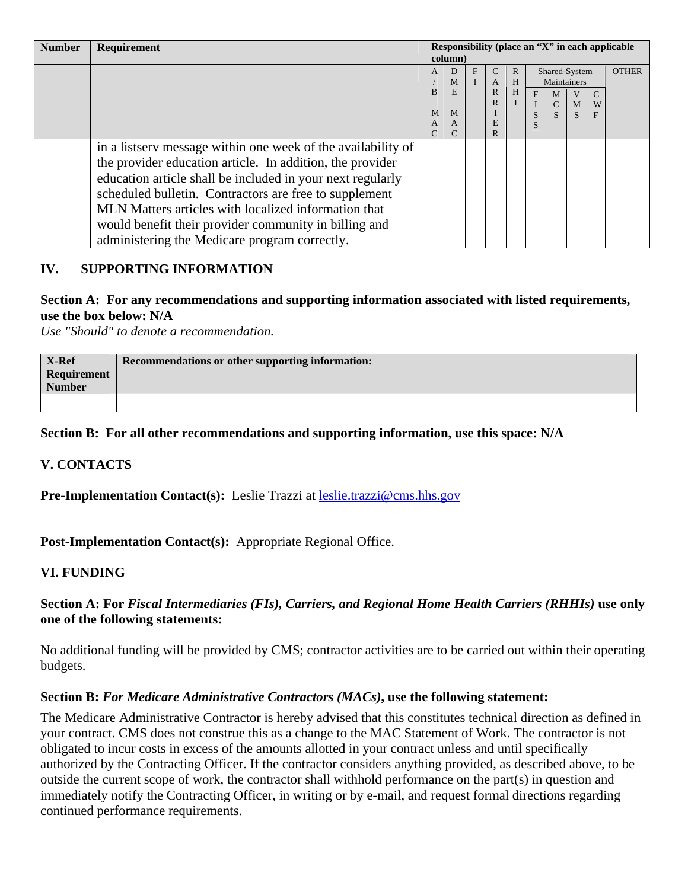| <b>Number</b> | Requirement                                                  | Responsibility (place an "X" in each applicable |         |   |              |              |   |               |   |               |              |
|---------------|--------------------------------------------------------------|-------------------------------------------------|---------|---|--------------|--------------|---|---------------|---|---------------|--------------|
|               |                                                              |                                                 | column) |   |              |              |   |               |   |               |              |
|               |                                                              | A                                               | D       | F | C            | $\mathbb{R}$ |   | Shared-System |   |               | <b>OTHER</b> |
|               |                                                              |                                                 | М       |   | A            | H            |   | Maintainers   |   |               |              |
|               |                                                              | B                                               | E       |   | $\mathbb{R}$ | H            | F | M             |   | $\mathcal{C}$ |              |
|               |                                                              | M                                               | M       |   | R            |              |   | $\mathsf{C}$  | M | W             |              |
|               |                                                              | A                                               | A       |   | E            |              |   |               |   | F             |              |
|               |                                                              |                                                 |         |   | R.           |              | S |               |   |               |              |
|               | in a listserv message within one week of the availability of |                                                 |         |   |              |              |   |               |   |               |              |
|               | the provider education article. In addition, the provider    |                                                 |         |   |              |              |   |               |   |               |              |
|               | education article shall be included in your next regularly   |                                                 |         |   |              |              |   |               |   |               |              |
|               | scheduled bulletin. Contractors are free to supplement       |                                                 |         |   |              |              |   |               |   |               |              |
|               | MLN Matters articles with localized information that         |                                                 |         |   |              |              |   |               |   |               |              |
|               | would benefit their provider community in billing and        |                                                 |         |   |              |              |   |               |   |               |              |
|               | administering the Medicare program correctly.                |                                                 |         |   |              |              |   |               |   |               |              |

# **IV. SUPPORTING INFORMATION**

## **Section A: For any recommendations and supporting information associated with listed requirements, use the box below: N/A**

*Use "Should" to denote a recommendation.* 

| X-Ref                        | Recommendations or other supporting information: |
|------------------------------|--------------------------------------------------|
| Requirement<br><b>Number</b> |                                                  |
|                              |                                                  |

# **Section B: For all other recommendations and supporting information, use this space: N/A**

### **V. CONTACTS**

**Pre-Implementation Contact(s):** Leslie Trazzi at [leslie.trazzi@cms.hhs.gov](mailto:leslie.trazzi@cms.hhs.gov)

**Post-Implementation Contact(s):** Appropriate Regional Office.

### **VI. FUNDING**

# **Section A: For** *Fiscal Intermediaries (FIs), Carriers, and Regional Home Health Carriers (RHHIs)* **use only one of the following statements:**

No additional funding will be provided by CMS; contractor activities are to be carried out within their operating budgets.

### **Section B:** *For Medicare Administrative Contractors (MACs)***, use the following statement:**

The Medicare Administrative Contractor is hereby advised that this constitutes technical direction as defined in your contract. CMS does not construe this as a change to the MAC Statement of Work. The contractor is not obligated to incur costs in excess of the amounts allotted in your contract unless and until specifically authorized by the Contracting Officer. If the contractor considers anything provided, as described above, to be outside the current scope of work, the contractor shall withhold performance on the part(s) in question and immediately notify the Contracting Officer, in writing or by e-mail, and request formal directions regarding continued performance requirements.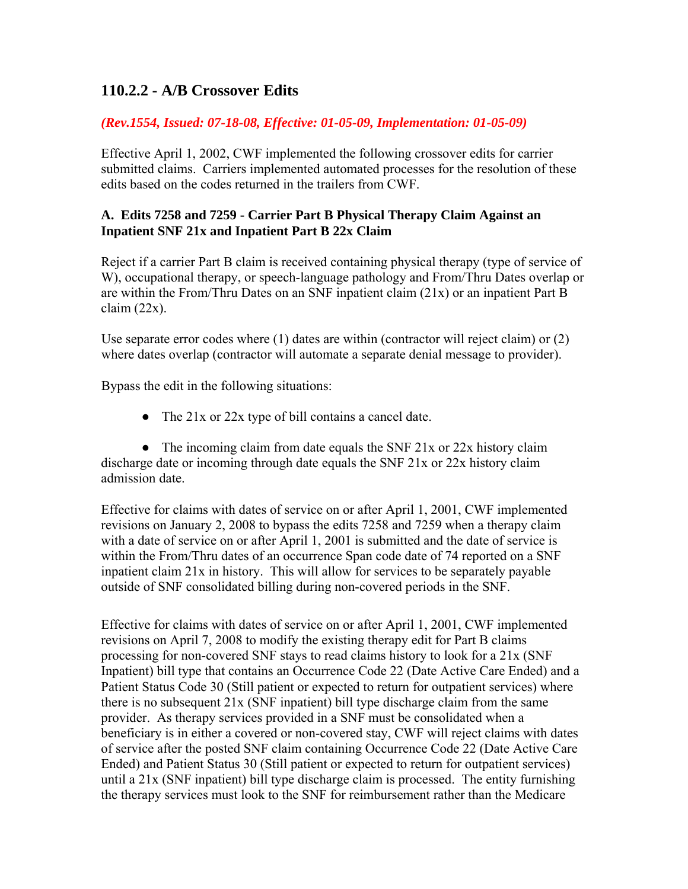# **110.2.2 - A/B Crossover Edits**

# *(Rev.1554, Issued: 07-18-08, Effective: 01-05-09, Implementation: 01-05-09)*

Effective April 1, 2002, CWF implemented the following crossover edits for carrier submitted claims. Carriers implemented automated processes for the resolution of these edits based on the codes returned in the trailers from CWF.

# **A. Edits 7258 and 7259 - Carrier Part B Physical Therapy Claim Against an Inpatient SNF 21x and Inpatient Part B 22x Claim**

Reject if a carrier Part B claim is received containing physical therapy (type of service of W), occupational therapy, or speech-language pathology and From/Thru Dates overlap or are within the From/Thru Dates on an SNF inpatient claim (21x) or an inpatient Part B  $claim (22x)$ .

Use separate error codes where (1) dates are within (contractor will reject claim) or (2) where dates overlap (contractor will automate a separate denial message to provider).

Bypass the edit in the following situations:

• The 21x or 22x type of bill contains a cancel date.

• The incoming claim from date equals the SNF  $21x$  or  $22x$  history claim discharge date or incoming through date equals the SNF 21x or 22x history claim admission date.

Effective for claims with dates of service on or after April 1, 2001, CWF implemented revisions on January 2, 2008 to bypass the edits 7258 and 7259 when a therapy claim with a date of service on or after April 1, 2001 is submitted and the date of service is within the From/Thru dates of an occurrence Span code date of 74 reported on a SNF inpatient claim 21x in history. This will allow for services to be separately payable outside of SNF consolidated billing during non-covered periods in the SNF.

Effective for claims with dates of service on or after April 1, 2001, CWF implemented revisions on April 7, 2008 to modify the existing therapy edit for Part B claims processing for non-covered SNF stays to read claims history to look for a 21x (SNF Inpatient) bill type that contains an Occurrence Code 22 (Date Active Care Ended) and a Patient Status Code 30 (Still patient or expected to return for outpatient services) where there is no subsequent 21x (SNF inpatient) bill type discharge claim from the same provider. As therapy services provided in a SNF must be consolidated when a beneficiary is in either a covered or non-covered stay, CWF will reject claims with dates of service after the posted SNF claim containing Occurrence Code 22 (Date Active Care Ended) and Patient Status 30 (Still patient or expected to return for outpatient services) until a 21x (SNF inpatient) bill type discharge claim is processed. The entity furnishing the therapy services must look to the SNF for reimbursement rather than the Medicare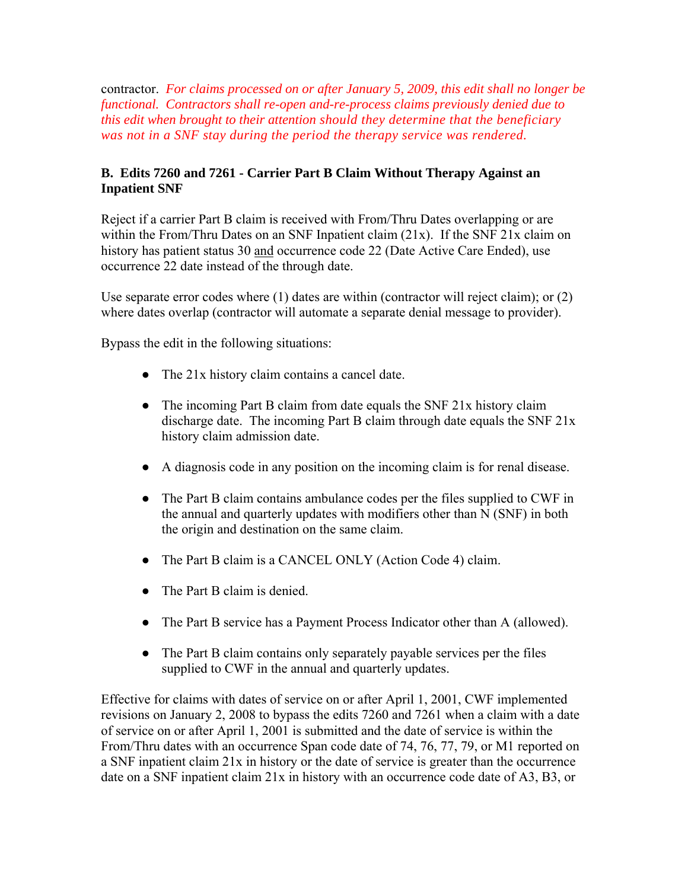contractor. *For claims processed on or after January 5, 2009, this edit shall no longer be functional. Contractors shall re-open and-re-process claims previously denied due to this edit when brought to their attention should they determine that the beneficiary was not in a SNF stay during the period the therapy service was rendered.*

# **B. Edits 7260 and 7261 - Carrier Part B Claim Without Therapy Against an Inpatient SNF**

Reject if a carrier Part B claim is received with From/Thru Dates overlapping or are within the From/Thru Dates on an SNF Inpatient claim (21x). If the SNF 21x claim on history has patient status 30 and occurrence code 22 (Date Active Care Ended), use occurrence 22 date instead of the through date.

Use separate error codes where (1) dates are within (contractor will reject claim); or (2) where dates overlap (contractor will automate a separate denial message to provider).

Bypass the edit in the following situations:

- The 21x history claim contains a cancel date.
- The incoming Part B claim from date equals the SNF 21x history claim discharge date. The incoming Part B claim through date equals the SNF 21x history claim admission date.
- A diagnosis code in any position on the incoming claim is for renal disease.
- The Part B claim contains ambulance codes per the files supplied to CWF in the annual and quarterly updates with modifiers other than N (SNF) in both the origin and destination on the same claim.
- The Part B claim is a CANCEL ONLY (Action Code 4) claim.
- The Part B claim is denied.
- The Part B service has a Payment Process Indicator other than A (allowed).
- The Part B claim contains only separately payable services per the files supplied to CWF in the annual and quarterly updates.

Effective for claims with dates of service on or after April 1, 2001, CWF implemented revisions on January 2, 2008 to bypass the edits 7260 and 7261 when a claim with a date of service on or after April 1, 2001 is submitted and the date of service is within the From/Thru dates with an occurrence Span code date of 74, 76, 77, 79, or M1 reported on a SNF inpatient claim 21x in history or the date of service is greater than the occurrence date on a SNF inpatient claim 21x in history with an occurrence code date of A3, B3, or